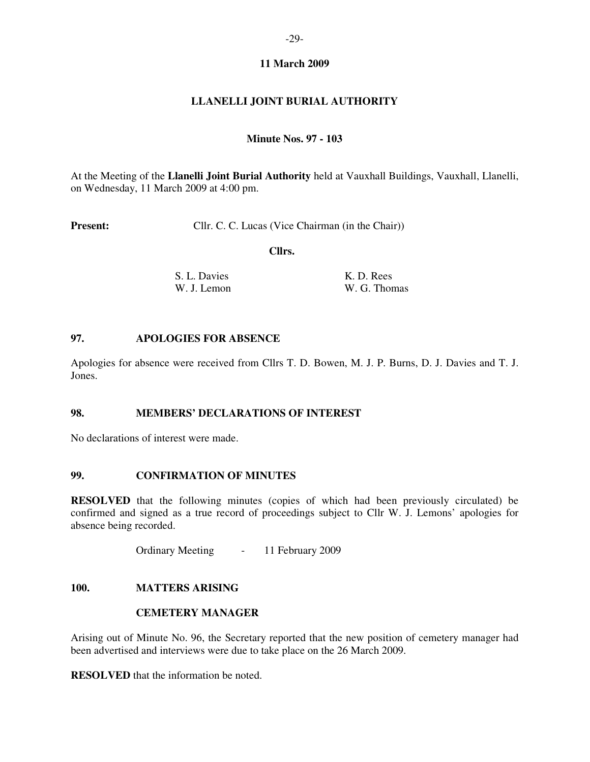# **11 March 2009**

# **LLANELLI JOINT BURIAL AUTHORITY**

# **Minute Nos. 97 - 103**

At the Meeting of the **Llanelli Joint Burial Authority** held at Vauxhall Buildings, Vauxhall, Llanelli, on Wednesday, 11 March 2009 at 4:00 pm.

**Present:** Cllr. C. C. Lucas (Vice Chairman (in the Chair))

 **Cllrs.** 

**S. L. Davies K. D. Rees** W. J. Lemon W. G. Thomas

### **97. APOLOGIES FOR ABSENCE**

Apologies for absence were received from Cllrs T. D. Bowen, M. J. P. Burns, D. J. Davies and T. J. Jones.

# **98. MEMBERS' DECLARATIONS OF INTEREST**

No declarations of interest were made.

#### **99. CONFIRMATION OF MINUTES**

**RESOLVED** that the following minutes (copies of which had been previously circulated) be confirmed and signed as a true record of proceedings subject to Cllr W. J. Lemons' apologies for absence being recorded.

Ordinary Meeting - 11 February 2009

# **100. MATTERS ARISING**

#### **CEMETERY MANAGER**

Arising out of Minute No. 96, the Secretary reported that the new position of cemetery manager had been advertised and interviews were due to take place on the 26 March 2009.

**RESOLVED** that the information be noted.